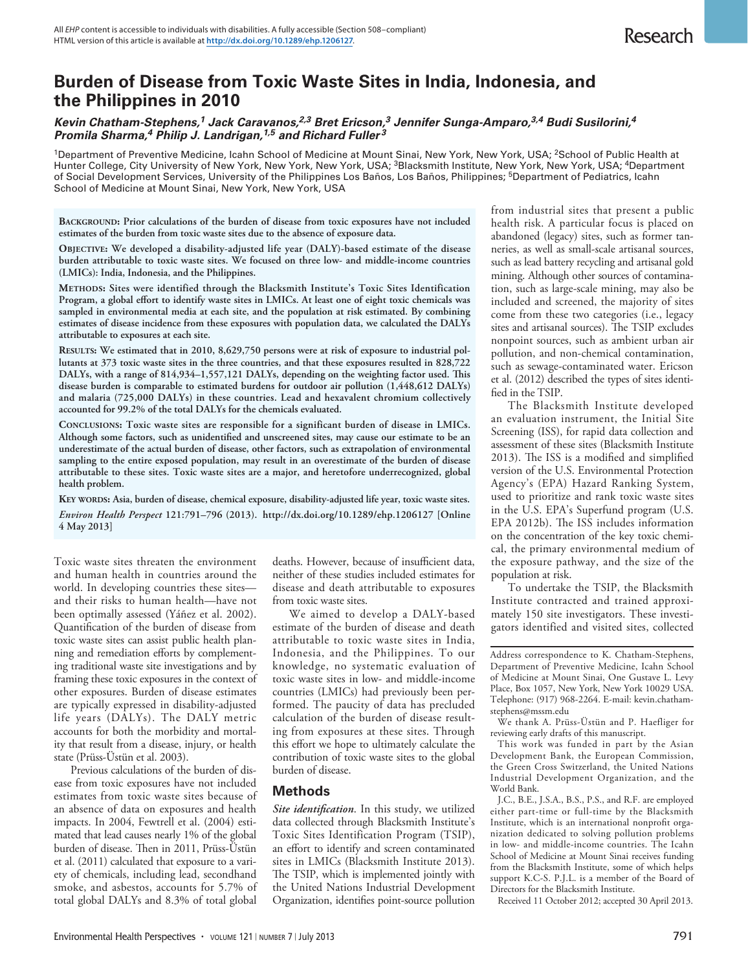# **Burden of Disease from Toxic Waste Sites in India, Indonesia, and the Philippines in 2010**

## **Kevin Chatham-Stephens,1 Jack Caravanos,2,3 Bret Ericson,3 Jennifer Sunga-Amparo,3,4 Budi Susilorini,4 Promila Sharma,4 Philip J. Landrigan,1,5 and Richard Fuller <sup>3</sup>**

<sup>1</sup>Department of Preventive Medicine, Icahn School of Medicine at Mount Sinai, New York, New York, USA; <sup>2</sup>School of Public Health at Hunter College, City University of New York, New York, New York, USA; <sup>3</sup>Blacksmith Institute, New York, New York, USA; <sup>4</sup>Department of Social Development Services, University of the Philippines Los Baños, Los Baños, Philippines; <sup>5</sup>Department of Pediatrics, Icahn School of Medicine at Mount Sinai, New York, New York, USA

**BACKGROUND: Prior calculations of the burden of disease from toxic exposures have not included estimates of the burden from toxic waste sites due to the absence of exposure data.**

**OBJECTIVE: We developed a disability-adjusted life year (DALY)-based estimate of the disease burden attributable to toxic waste sites. We focused on three low- and middle-income countries (LMICs): India, Indonesia, and the Philippines.**

**METHODS: Sites were identified through the Blacksmith Institute's Toxic Sites Identification Program, a global effort to identify waste sites in LMICs. At least one of eight toxic chemicals was sampled in environmental media at each site, and the population at risk estimated. By combining estimates of disease incidence from these exposures with population data, we calculated the DALYs attributable to exposures at each site.**

**RESULTS: We estimated that in 2010, 8,629,750 persons were at risk of exposure to industrial pollutants at 373 toxic waste sites in the three countries, and that these exposures resulted in 828,722 DALYs, with a range of 814,934–1,557,121 DALYs, depending on the weighting factor used. "is disease burden is comparable to estimated burdens for outdoor air pollution (1,448,612 DALYs) and malaria (725,000 DALYs) in these countries. Lead and hexavalent chromium collectively accounted for 99.2% of the total DALYs for the chemicals evaluated.**

**CONCLUSIONS: Toxic waste sites are responsible for a significant burden of disease in LMICs. Although some factors, such as unidentified and unscreened sites, may cause our estimate to be an underestimate of the actual burden of disease, other factors, such as extrapolation of environmental sampling to the entire exposed population, may result in an overestimate of the burden of disease attributable to these sites. Toxic waste sites are a major, and heretofore underrecognized, global health problem.**

**KEY WORDS: Asia, burden of disease, chemical exposure, disability-adjusted life year, toxic waste sites.** *Environ Health Perspect* **121:791–796 (2013). <http://dx.doi.org/10.1289/ehp.1206127> [Online 4 May 2013]**

Toxic waste sites threaten the environment and human health in countries around the world. In developing countries these sites and their risks to human health—have not been optimally assessed (Yáñez et al. 2002). Quantification of the burden of disease from toxic waste sites can assist public health planning and remediation efforts by complementing traditional waste site investigations and by framing these toxic exposures in the context of other exposures. Burden of disease estimates are typically expressed in disability-adjusted life years (DALYs). The DALY metric accounts for both the morbidity and mortality that result from a disease, injury, or health state (Prüss-Üstün et al. 2003).

Previous calculations of the burden of disease from toxic exposures have not included estimates from toxic waste sites because of an absence of data on exposures and health impacts. In 2004, Fewtrell et al. (2004) estimated that lead causes nearly 1% of the global burden of disease. Then in 2011, Prüss-Üstün et al. (2011) calculated that exposure to a variety of chemicals, including lead, secondhand smoke, and asbestos, accounts for 5.7% of total global DALYs and 8.3% of total global

deaths. However, because of insufficient data, neither of these studies included estimates for disease and death attributable to exposures from toxic waste sites.

We aimed to develop a DALY-based estimate of the burden of disease and death attributable to toxic waste sites in India, Indonesia, and the Philippines. To our knowledge, no systematic evaluation of toxic waste sites in low- and middle-income countries (LMICs) had previously been performed. The paucity of data has precluded calculation of the burden of disease resulting from exposures at these sites. Through this effort we hope to ultimately calculate the contribution of toxic waste sites to the global burden of disease.

## **Methods**

*Site identification*. In this study, we utilized data collected through Blacksmith Institute's Toxic Sites Identification Program (TSIP), an effort to identify and screen contaminated sites in LMICs (Blacksmith Institute 2013). The TSIP, which is implemented jointly with the United Nations Industrial Development Organization, identifies point-source pollution

from industrial sites that present a public health risk. A particular focus is placed on abandoned (legacy) sites, such as former tanneries, as well as small-scale artisanal sources, such as lead battery recycling and artisanal gold mining. Although other sources of contamination, such as large-scale mining, may also be included and screened, the majority of sites come from these two categories (i.e., legacy sites and artisanal sources). The TSIP excludes nonpoint sources, such as ambient urban air pollution, and non-chemical contamination, such as sewage-contaminated water. Ericson et al. (2012) described the types of sites identified in the TSIP.

The Blacksmith Institute developed an evaluation instrument, the Initial Site Screening (ISS), for rapid data collection and assessment of these sites (Blacksmith Institute 2013). The ISS is a modified and simplified version of the U.S. Environmental Protection Agency's (EPA) Hazard Ranking System, used to prioritize and rank toxic waste sites in the U.S. EPA's Superfund program (U.S. EPA 2012b). The ISS includes information on the concentration of the key toxic chemical, the primary environmental medium of the exposure pathway, and the size of the population at risk.

To undertake the TSIP, the Blacksmith Institute contracted and trained approximately 150 site investigators. These investigators identified and visited sites, collected

Address correspondence to K. Chatham-Stephens, Department of Preventive Medicine, Icahn School of Medicine at Mount Sinai, One Gustave L. Levy Place, Box 1057, New York, New York 10029 USA. Telephone: (917) 968-2264. E-mail: [kevin.chatham](mailto:kevin.chatham-stephens@mssm.edu)[stephens@mssm.edu](mailto:kevin.chatham-stephens@mssm.edu)

We thank A. Prüss-Üstün and P. Haefliger for reviewing early drafts of this manuscript.

This work was funded in part by the Asian Development Bank, the European Commission, the Green Cross Switzerland, the United Nations Industrial Development Organization, and the World Bank.

J.C., B.E., J.S.A., B.S., P.S., and R.F. are employed either part-time or full-time by the Blacksmith Institute, which is an international nonprofit organization dedicated to solving pollution problems in low- and middle-income countries. The Icahn School of Medicine at Mount Sinai receives funding from the Blacksmith Institute, some of which helps support K.C-S. P.J.L. is a member of the Board of Directors for the Blacksmith Institute.

Received 11 October 2012; accepted 30 April 2013.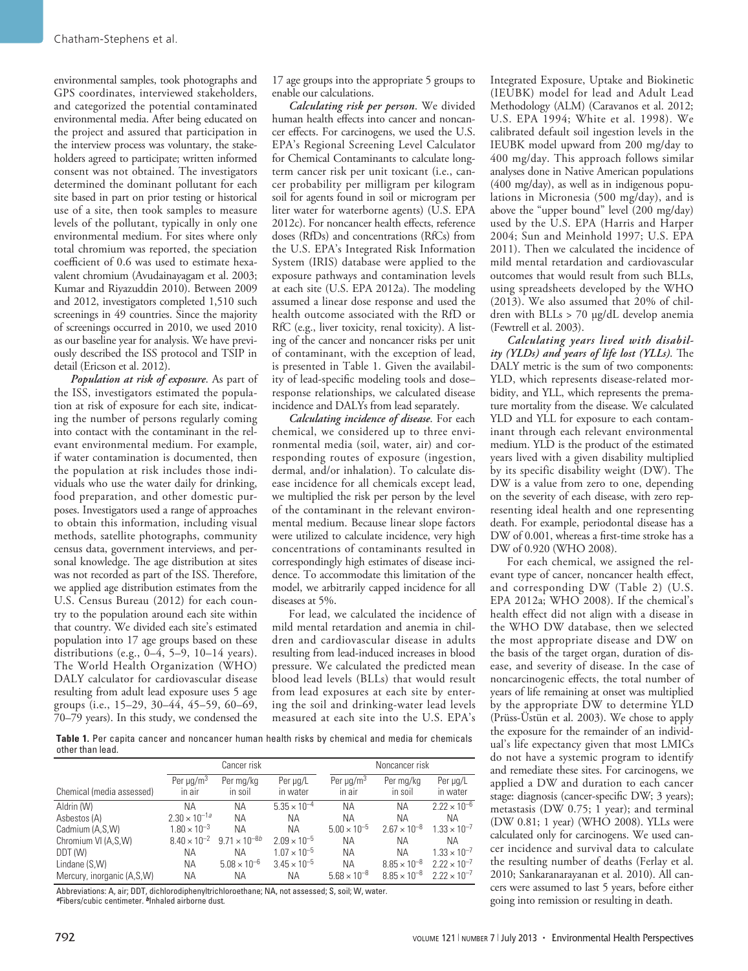environmental samples, took photographs and GPS coordinates, interviewed stakeholders, and categorized the potential contaminated environmental media. After being educated on the project and assured that participation in the interview process was voluntary, the stakeholders agreed to participate; written informed consent was not obtained. The investigators determined the dominant pollutant for each site based in part on prior testing or historical use of a site, then took samples to measure levels of the pollutant, typically in only one environmental medium. For sites where only total chromium was reported, the speciation coefficient of 0.6 was used to estimate hexavalent chromium (Avudainayagam et al. 2003; Kumar and Riyazuddin 2010). Between 2009 and 2012, investigators completed 1,510 such screenings in 49 countries. Since the majority of screenings occurred in 2010, we used 2010 as our baseline year for analysis. We have previously described the ISS protocol and TSIP in detail (Ericson et al. 2012).

*Population at risk of exposure*. As part of the ISS, investigators estimated the population at risk of exposure for each site, indicating the number of persons regularly coming into contact with the contaminant in the relevant environmental medium. For example, if water contamination is documented, then the population at risk includes those individuals who use the water daily for drinking, food preparation, and other domestic purposes. Investigators used a range of approaches to obtain this information, including visual methods, satellite photographs, community census data, government interviews, and personal knowledge. The age distribution at sites was not recorded as part of the ISS. Therefore, we applied age distribution estimates from the U.S. Census Bureau (2012) for each country to the population around each site within that country. We divided each site's estimated population into 17 age groups based on these distributions (e.g.,  $0-4$ ,  $5-9$ ,  $10-14$  years). The World Health Organization (WHO) DALY calculator for cardiovascular disease resulting from adult lead exposure uses 5 age groups (i.e., 15–29, 30–44, 45–59, 60–69, 70–79 years). In this study, we condensed the

17 age groups into the appropriate 5 groups to enable our calculations.

*Calculating risk per person*. We divided human health effects into cancer and noncancer effects. For carcinogens, we used the U.S. EPA's Regional Screening Level Calculator for Chemical Contaminants to calculate longterm cancer risk per unit toxicant (i.e., cancer probability per milligram per kilogram soil for agents found in soil or microgram per liter water for waterborne agents) (U.S. EPA 2012c). For noncancer health effects, reference doses (RfDs) and concentrations (RfCs) from the U.S. EPA's Integrated Risk Information System (IRIS) database were applied to the exposure pathways and contamination levels at each site (U.S. EPA 2012a). The modeling assumed a linear dose response and used the health outcome associated with the RfD or RfC (e.g., liver toxicity, renal toxicity). A listing of the cancer and noncancer risks per unit of contaminant, with the exception of lead, is presented in Table 1. Given the availability of lead-specific modeling tools and dose– response relationships, we calculated disease incidence and DALYs from lead separately.

*Calculating incidence of disease*. For each chemical, we considered up to three environmental media (soil, water, air) and corresponding routes of exposure (ingestion, dermal, and/or inhalation). To calculate disease incidence for all chemicals except lead, we multiplied the risk per person by the level of the contaminant in the relevant environmental medium. Because linear slope factors were utilized to calculate incidence, very high concentrations of contaminants resulted in correspondingly high estimates of disease incidence. To accommodate this limitation of the model, we arbitrarily capped incidence for all diseases at 5%.

For lead, we calculated the incidence of mild mental retardation and anemia in children and cardiovascular disease in adults resulting from lead-induced increases in blood pressure. We calculated the predicted mean blood lead levels (BLLs) that would result from lead exposures at each site by entering the soil and drinking-water lead levels measured at each site into the U.S. EPA's

**Table 1.** Per capita cancer and noncancer human health risks by chemical and media for chemicals other than lead.

|                            | Cancer risk                |                        |                       | Noncancer risk             |                       |                       |
|----------------------------|----------------------------|------------------------|-----------------------|----------------------------|-----------------------|-----------------------|
|                            | Per $\mu$ g/m <sup>3</sup> | Per mg/kg              | Per µg/L              | Per $\mu$ g/m <sup>3</sup> | Per mg/kg             | Per µg/L              |
| Chemical (media assessed)  | in air                     | in soil                | in water              | in air                     | in soil               | in water              |
| Aldrin (W)                 | ΝA                         | ΝA                     | $5.35 \times 10^{-4}$ | <b>NA</b>                  | <b>NA</b>             | $2.22 \times 10^{-6}$ |
| Asbestos (A)               | $2.30 \times 10^{-1}$ a    | <b>NA</b>              | NА                    | <b>NA</b>                  | <b>NA</b>             | NА                    |
| Cadmium (A,S,W)            | $1.80 \times 10^{-3}$      | <b>NA</b>              | <b>NA</b>             | $5.00 \times 10^{-5}$      | $2.67 \times 10^{-8}$ | $1.33 \times 10^{-7}$ |
| Chromium VI (A,S,W)        | $8.40 \times 10^{-2}$      | $9.71 \times 10^{-8b}$ | $2.09 \times 10^{-5}$ | <b>NA</b>                  | NА                    | NА                    |
| DDT (W)                    | NА                         | ΝA                     | $1.07 \times 10^{-5}$ | <b>NA</b>                  | <b>NA</b>             | $1.33 \times 10^{-7}$ |
| Lindane (S,W)              | <b>NA</b>                  | $5.08 \times 10^{-6}$  | $3.45 \times 10^{-5}$ | <b>NA</b>                  | $8.85 \times 10^{-8}$ | $2.22 \times 10^{-7}$ |
| Mercury, inorganic (A,S,W) | NА                         | NА                     | NА                    | $5.68 \times 10^{-8}$      | $8.85 \times 10^{-8}$ | $2.22 \times 10^{-7}$ |

Abbreviations: A, air; DDT, dichlorodiphenyltrichloroethane; NA, not assessed; S, soil; W, water. **<sup>a</sup>**Fibers/cubic centimeter. **b**Inhaled airborne dust.

Integrated Exposure, Uptake and Biokinetic (IEUBK) model for lead and Adult Lead Methodology (ALM) (Caravanos et al. 2012; U.S. EPA 1994; White et al. 1998). We calibrated default soil ingestion levels in the IEUBK model upward from 200 mg/day to 400 mg/day. This approach follows similar analyses done in Native American populations (400 mg/day), as well as in indigenous populations in Micronesia (500 mg/day), and is above the "upper bound" level (200 mg/day) used by the U.S. EPA (Harris and Harper 2004; Sun and Meinhold 1997; U.S. EPA 2011). Then we calculated the incidence of mild mental retardation and cardiovascular outcomes that would result from such BLLs, using spreadsheets developed by the WHO (2013). We also assumed that 20% of children with BLLs > 70 µg/dL develop anemia (Fewtrell et al. 2003).

*Calculating years lived with disability (YLDs) and years of life lost (YLLs)*. The DALY metric is the sum of two components: YLD, which represents disease-related morbidity, and YLL, which represents the premature mortality from the disease. We calculated YLD and YLL for exposure to each contaminant through each relevant environmental medium. YLD is the product of the estimated years lived with a given disability multiplied by its specific disability weight (DW). The DW is a value from zero to one, depending on the severity of each disease, with zero representing ideal health and one representing death. For example, periodontal disease has a DW of 0.001, whereas a first-time stroke has a DW of 0.920 (WHO 2008).

For each chemical, we assigned the relevant type of cancer, noncancer health effect, and corresponding DW (Table 2) (U.S. EPA 2012a; WHO 2008). If the chemical's health effect did not align with a disease in the WHO DW database, then we selected the most appropriate disease and DW on the basis of the target organ, duration of disease, and severity of disease. In the case of noncarcinogenic effects, the total number of years of life remaining at onset was multiplied by the appropriate DW to determine YLD (Prüss-Üstün et al. 2003). We chose to apply the exposure for the remainder of an individual's life expectancy given that most LMICs do not have a systemic program to identify and remediate these sites. For carcinogens, we applied a DW and duration to each cancer stage: diagnosis (cancer-specific DW; 3 years); metastasis (DW 0.75; 1 year); and terminal (DW 0.81; 1 year) (WHO 2008). YLLs were calculated only for carcinogens. We used cancer incidence and survival data to calculate the resulting number of deaths (Ferlay et al. 2010; Sankaranarayanan et al. 2010). All cancers were assumed to last 5 years, before either going into remission or resulting in death.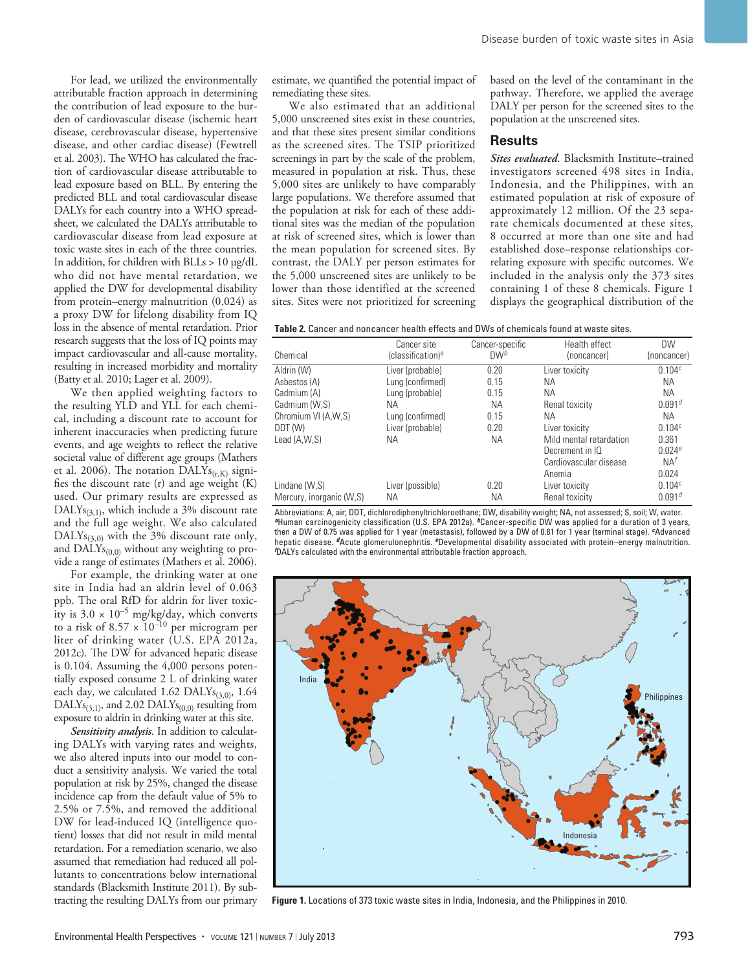based on the level of the contaminant in the pathway. Therefore, we applied the average DALY per person for the screened sites to the

*Sites evaluated*. Blacksmith Institute–trained investigators screened 498 sites in India, Indonesia, and the Philippines, with an estimated population at risk of exposure of approximately 12 million. Of the 23 separate chemicals documented at these sites, 8 occurred at more than one site and had established dose–response relationships correlating exposure with specific outcomes. We included in the analysis only the 373 sites containing 1 of these 8 chemicals. Figure 1 displays the geographical distribution of the

population at the unscreened sites.

**Results**

For lead, we utilized the environmentally attributable fraction approach in determining the contribution of lead exposure to the burden of cardiovascular disease (ischemic heart disease, cerebrovascular disease, hypertensive disease, and other cardiac disease) (Fewtrell et al. 2003). The WHO has calculated the fraction of cardiovascular disease attributable to lead exposure based on BLL. By entering the predicted BLL and total cardiovascular disease DALYs for each country into a WHO spreadsheet, we calculated the DALYs attributable to cardiovascular disease from lead exposure at toxic waste sites in each of the three countries. In addition, for children with BLLs > 10 µg/dL who did not have mental retardation, we applied the DW for developmental disability from protein–energy malnutrition (0.024) as a proxy DW for lifelong disability from IQ loss in the absence of mental retardation. Prior research suggests that the loss of IQ points may impact cardiovascular and all-cause mortality, resulting in increased morbidity and mortality (Batty et al. 2010; Lager et al. 2009).

We then applied weighting factors to the resulting YLD and YLL for each chemical, including a discount rate to account for inherent inaccuracies when predicting future events, and age weights to reflect the relative societal value of different age groups (Mathers et al. 2006). The notation  $\text{DALYs}_{(\text{r},\text{K})}$  signifies the discount rate (r) and age weight (K) used. Our primary results are expressed as DALYs $_{(3,1)}$ , which include a 3% discount rate and the full age weight. We also calculated  $\text{DALYs}_{(3,0)}$  with the 3% discount rate only, and  $\mathrm{DALYs}_{(0,0)}$  without any weighting to provide a range of estimates (Mathers et al. 2006).

For example, the drinking water at one site in India had an aldrin level of 0.063 ppb. The oral RfD for aldrin for liver toxicity is  $3.0 \times 10^{-5}$  mg/kg/day, which converts to a risk of 8.57  $\times$   $10^{-10}$  per microgram per liter of drinking water (U.S. EPA 2012a, 2012c). The DW for advanced hepatic disease is 0.104. Assuming the 4,000 persons potentially exposed consume 2 L of drinking water each day, we calculated 1.62 DALYs<sub>(3,0)</sub>, 1.64 DALYs<sub>(3,1)</sub>, and 2.02 DALYs<sub>(0,0)</sub> resulting from exposure to aldrin in drinking water at this site.

*Sensitivity analysis*. In addition to calculating DALYs with varying rates and weights, we also altered inputs into our model to conduct a sensitivity analysis. We varied the total population at risk by 25%, changed the disease incidence cap from the default value of 5% to 2.5% or 7.5%, and removed the additional DW for lead-induced IQ (intelligence quotient) losses that did not result in mild mental retardation. For a remediation scenario, we also assumed that remediation had reduced all pollutants to concentrations below international standards (Blacksmith Institute 2011). By subtracting the resulting DALYs from our primary

estimate, we quantified the potential impact of remediating these sites.

We also estimated that an additional 5,000 unscreened sites exist in these countries, and that these sites present similar conditions as the screened sites. The TSIP prioritized screenings in part by the scale of the problem, measured in population at risk. Thus, these 5,000 sites are unlikely to have comparably large populations. We therefore assumed that the population at risk for each of these additional sites was the median of the population at risk of screened sites, which is lower than the mean population for screened sites. By contrast, the DALY per person estimates for the 5,000 unscreened sites are unlikely to be lower than those identified at the screened sites. Sites were not prioritized for screening

**Table 2.** Cancer and noncancer health effects and DWs of chemicals found at waste sites.

|                          | Cancer site                   | Cancer-specific | Health effect           | <b>DW</b>          |
|--------------------------|-------------------------------|-----------------|-------------------------|--------------------|
| Chemical                 | (classification) <sup>a</sup> | $DW^b$          | (noncancer)             | (noncancer)        |
| Aldrin (W)               | Liver (probable)              | 0.20            | Liver toxicity          | 0.104c             |
| Asbestos (A)             | Lung (confirmed)              | 0.15            | ΝA                      | <b>NA</b>          |
| Cadmium (A)              | Lung (probable)               | 0.15            | <b>NA</b>               | <b>NA</b>          |
| Cadmium (W,S)            | NА                            | <b>NA</b>       | Renal toxicity          | 0.091 <sup>d</sup> |
| Chromium VI (A, W, S)    | Lung (confirmed)              | 0.15            | ΝA                      | <b>NA</b>          |
| DDT (W)                  | Liver (probable)              | 0.20            | Liver toxicity          | 0.104c             |
| Lead (A,W,S)             | NА                            | <b>NA</b>       | Mild mental retardation | 0.361              |
|                          |                               |                 | Decrement in IO         | 0.024e             |
|                          |                               |                 | Cardiovascular disease  | NA <sup>f</sup>    |
|                          |                               |                 | Anemia                  | 0.024              |
| Lindane (W,S)            | Liver (possible)              | 0.20            | Liver toxicity          | 0.104c             |
| Mercury, inorganic (W,S) | ΝA                            | <b>NA</b>       | Renal toxicity          | 0.091 <sup>d</sup> |
|                          |                               |                 |                         |                    |

Abbreviations: A, air; DDT, dichlorodiphenyltrichloroethane; DW, disability weight; NA, not assessed; S, soil; W, water. **<sup>a</sup>**Human carcinogenicity classification (U.S. EPA 2012a). **b**Cancer-specific DW was applied for a duration of 3 years, then a DW of 0.75 was applied for 1 year (metastasis), followed by a DW of 0.81 for 1 year (terminal stage). **c**Advanced hepatic disease. **d**Acute glomerulonephritis. **e**Developmental disability associated with protein–energy malnutrition. **f** DALYs calculated with the environmental attributable fraction approach.



**Figure 1.** Locations of 373 toxic waste sites in India, Indonesia, and the Philippines in 2010.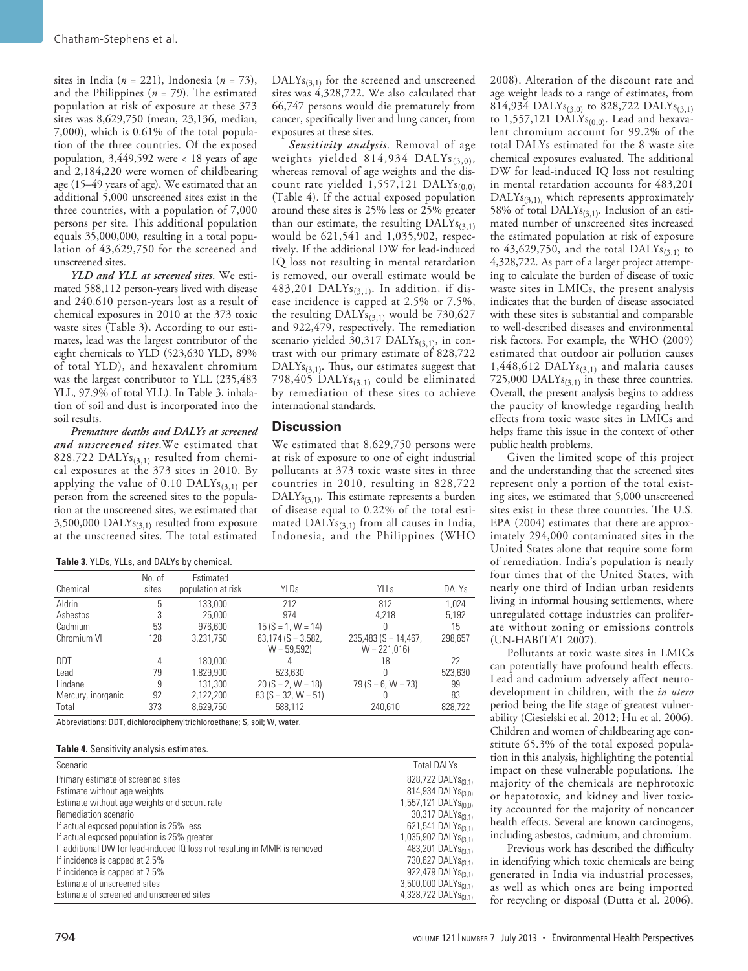sites in India (*n* = 221), Indonesia (*n* = 73), and the Philippines ( $n = 79$ ). The estimated population at risk of exposure at these 373 sites was 8,629,750 (mean, 23,136, median, 7,000), which is 0.61% of the total population of the three countries. Of the exposed population, 3,449,592 were < 18 years of age and 2,184,220 were women of childbearing age (15–49 years of age). We estimated that an additional 5,000 unscreened sites exist in the three countries, with a population of 7,000 persons per site. This additional population equals 35,000,000, resulting in a total population of 43,629,750 for the screened and unscreened sites.

*YLD and YLL at screened sites*. We estimated 588,112 person-years lived with disease and 240,610 person-years lost as a result of chemical exposures in 2010 at the 373 toxic waste sites (Table 3). According to our estimates, lead was the largest contributor of the eight chemicals to YLD (523,630 YLD, 89% of total YLD), and hexavalent chromium was the largest contributor to YLL (235,483 YLL, 97.9% of total YLL). In Table 3, inhalation of soil and dust is incorporated into the soil results.

*Premature deaths and DALYs at screened and unscreened sites*[.We](sites.We) estimated that 828,722 DALY $s_{(3,1)}$  resulted from chemical exposures at the 373 sites in 2010. By applying the value of 0.10 DALYs $_{(3,1)}$  per person from the screened sites to the population at the unscreened sites, we estimated that 3,500,000 DALY $s_{(3,1)}$  resulted from exposure at the unscreened sites. The total estimated

| Table 3. YLDs, YLLs, and DALYs by chemical. |  |  |  |
|---------------------------------------------|--|--|--|
|---------------------------------------------|--|--|--|

| Chemical           | No. of<br>sites | Estimated<br>population at risk | <b>YLDs</b>                            | YLLs                                    | <b>DALYs</b> |
|--------------------|-----------------|---------------------------------|----------------------------------------|-----------------------------------------|--------------|
| <b>Aldrin</b>      | 5               | 133,000                         | 212                                    | 812                                     | 1.024        |
| Asbestos           | 3               | 25,000                          | 974                                    | 4.218                                   | 5.192        |
| Cadmium            | 53              | 976,600                         | $15 (S = 1, W = 14)$                   |                                         | 15           |
| Chromium VI        | 128             | 3.231.750                       | $63,174$ $(S = 3,582)$<br>$W = 59,592$ | $235,483$ (S = 14,467,<br>$W = 221,016$ | 298,657      |
| <b>DDT</b>         | 4               | 180,000                         | 4                                      | 18                                      | 22           |
| Lead               | 79              | 1.829.900                       | 523.630                                | Ŋ                                       | 523.630      |
| Lindane            | 9               | 131.300                         | $20 (S = 2, W = 18)$                   | $79(S = 6, W = 73)$                     | 99           |
| Mercury, inorganic | 92              | 2,122,200                       | $83(S = 32, W = 51)$                   |                                         | 83           |
| Total              | 373             | 8.629.750                       | 588.112                                | 240.610                                 | 828.722      |

Abbreviations: DDT, dichlorodiphenyltrichloroethane; S, soil; W, water.

#### **Table 4.** Sensitivity analysis estimates.

| Scenario                                                                  | <b>Total DALYs</b>               |
|---------------------------------------------------------------------------|----------------------------------|
| Primary estimate of screened sites                                        | 828,722 DALY <sub>S(3,1)</sub>   |
| Estimate without age weights                                              | 814,934 DALY <sub>S(3,0)</sub>   |
| Estimate without age weights or discount rate                             | 1,557,121 DALYs <sub>(0.0)</sub> |
| Remediation scenario                                                      | 30,317 DALYS(3.1)                |
| If actual exposed population is 25% less                                  | 621,541 DALY <sub>S(3.1)</sub>   |
| If actual exposed population is 25% greater                               | 1,035,902 DALY <sub>S(3,1)</sub> |
| If additional DW for lead-induced IQ loss not resulting in MMR is removed | 483,201 DALY <sub>S(3,1)</sub>   |
| If incidence is capped at 2.5%                                            | 730,627 DALYS(31)                |
| If incidence is capped at 7.5%                                            | 922,479 DALYS(3.1)               |
| Estimate of unscreened sites                                              | 3,500,000 DALYS(3.1)             |
| Estimate of screened and unscreened sites                                 | 4,328,722 DALY <sub>S(3.1)</sub> |

 $\text{DALYs}_{(3,1)}$  for the screened and unscreened sites was 4,328,722. We also calculated that 66,747 persons would die prematurely from cancer, specifically liver and lung cancer, from exposures at these sites.

*Sensitivity analysis*. Removal of age weights yielded 814,934 DALYs $_{(3,0)}$ , whereas removal of age weights and the discount rate yielded  $1,557,121$  DALYs<sub>(0,0)</sub> (Table 4). If the actual exposed population around these sites is 25% less or 25% greater than our estimate, the resulting  $DALYs_{(3,1)}$ would be 621,541 and 1,035,902, respectively. If the additional DW for lead-induced IQ loss not resulting in mental retardation is removed, our overall estimate would be 483,201 DALYs $_{(3,1)}$ . In addition, if disease incidence is capped at 2.5% or 7.5%, the resulting  $\text{DALYs}_{(3,1)}$  would be 730,627 and 922,479, respectively. The remediation scenario yielded 30,317 DALYs $_{(3,1)}$ , in contrast with our primary estimate of 828,722 DALYs $_{(3,1)}$ . Thus, our estimates suggest that 798,405 DALYs $_{(3,1)}$  could be eliminated by remediation of these sites to achieve international standards.

### **Discussion**

We estimated that 8,629,750 persons were at risk of exposure to one of eight industrial pollutants at 373 toxic waste sites in three countries in 2010, resulting in 828,722 DALYs $_{(3,1)}$ . This estimate represents a burden of disease equal to 0.22% of the total estimated  $\text{DALYs}_{(3,1)}$  from all causes in India, Indonesia, and the Philippines (WHO

2008). Alteration of the discount rate and age weight leads to a range of estimates, from 814,934 DALYs<sub>(3,0)</sub> to 828,722 DALYs<sub>(3,1)</sub> to  $1,557,121$  DALYs<sub>(0,0)</sub>. Lead and hexavalent chromium account for 99.2% of the total DALYs estimated for the 8 waste site chemical exposures evaluated. The additional DW for lead-induced IQ loss not resulting in mental retardation accounts for 483,201  $\text{DALYs}_{(3,1)}$ , which represents approximately 58% of total DALY $s_{(3,1)}$ . Inclusion of an estimated number of unscreened sites increased the estimated population at risk of exposure to  $43,629,750$ , and the total DALYs<sub>(3,1)</sub> to 4,328,722. As part of a larger project attempting to calculate the burden of disease of toxic waste sites in LMICs, the present analysis indicates that the burden of disease associated with these sites is substantial and comparable to well-described diseases and environmental risk factors. For example, the WHO (2009) estimated that outdoor air pollution causes 1,448,612 DALY $s_{(3,1)}$  and malaria causes 725,000 DALYs $_{(3,1)}$  in these three countries. Overall, the present analysis begins to address the paucity of knowledge regarding health effects from toxic waste sites in LMICs and helps frame this issue in the context of other public health problems.

Given the limited scope of this project and the understanding that the screened sites represent only a portion of the total existing sites, we estimated that 5,000 unscreened sites exist in these three countries. The U.S. EPA (2004) estimates that there are approximately 294,000 contaminated sites in the United States alone that require some form of remediation. India's population is nearly four times that of the United States, with nearly one third of Indian urban residents living in informal housing settlements, where unregulated cottage industries can proliferate without zoning or emissions controls (UN-HABITAT 2007).

Pollutants at toxic waste sites in LMICs can potentially have profound health effects. Lead and cadmium adversely affect neurodevelopment in children, with the *in utero* period being the life stage of greatest vulnerability (Ciesielski et al. 2012; Hu et al. 2006). Children and women of childbearing age constitute 65.3% of the total exposed population in this analysis, highlighting the potential impact on these vulnerable populations. The majority of the chemicals are nephrotoxic or hepatotoxic, and kidney and liver toxicity accounted for the majority of noncancer health effects. Several are known carcinogens, including asbestos, cadmium, and chromium.

Previous work has described the difficulty in identifying which toxic chemicals are being generated in India via industrial processes, as well as which ones are being imported for recycling or disposal (Dutta et al. 2006).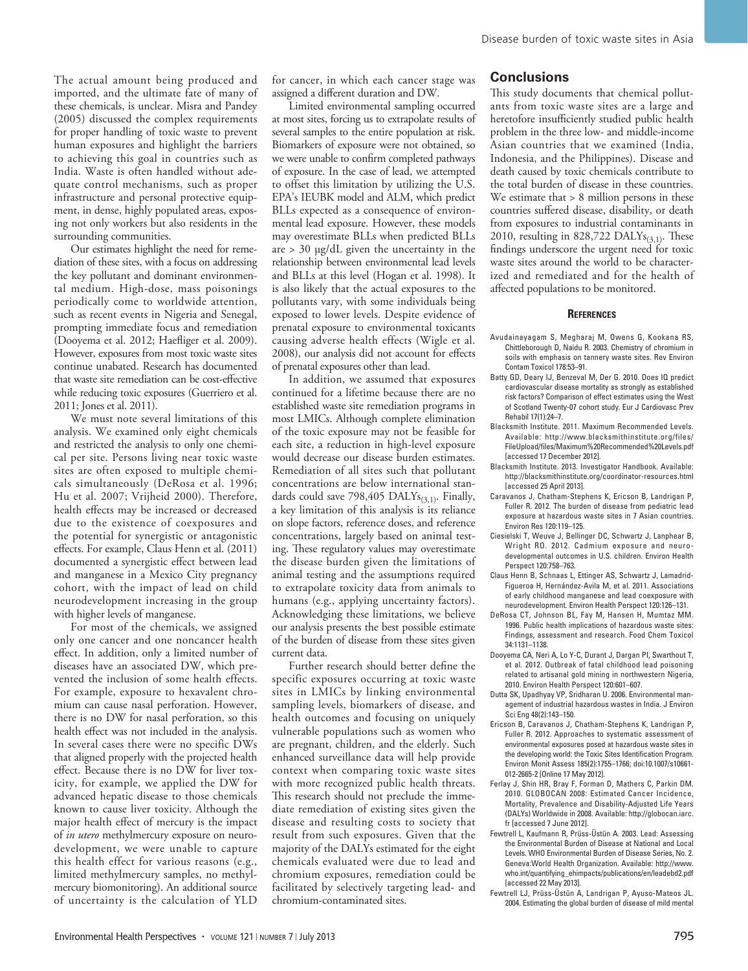The actual amount being produced and imported, and the ultimate fate of many of these chemicals, is unclear. Misra and Pandey (2005) discussed the complex requirements for proper handling of toxic waste to prevent human exposures and highlight the barriers to achieving this goal in countries such as India. Waste is often handled without adequate control mechanisms, such as proper infrastructure and personal protective equipment, in dense, highly populated areas, exposing not only workers but also residents in the surrounding communities.

Our estimates highlight the need for remediation of these sites, with a focus on addressing the key pollutant and dominant environmental medium. High-dose, mass poisonings periodically come to worldwide attention, such as recent events in Nigeria and Senegal, prompting immediate focus and remediation (Dooyema et al. 2012; Haefliger et al. 2009). However, exposures from most toxic waste sites continue unabated. Research has documented that waste site remediation can be cost-effective while reducing toxic exposures (Guerriero et al. 2011; Jones et al. 2011).

We must note several limitations of this analysis. We examined only eight chemicals and restricted the analysis to only one chemical per site. Persons living near toxic waste sites are often exposed to multiple chemicals simultaneously (DeRosa et al. 1996; Hu et al. 2007; Vrijheid 2000). Therefore, health effects may be increased or decreased due to the existence of coexposures and the potential for synergistic or antagonistic effects. For example, Claus Henn et al. (2011) documented a synergistic effect between lead and manganese in a Mexico City pregnancy cohort, with the impact of lead on child neurodevelopment increasing in the group with higher levels of manganese.

For most of the chemicals, we assigned only one cancer and one noncancer health effect. In addition, only a limited number of diseases have an associated DW, which prevented the inclusion of some health effects. For example, exposure to hexavalent chromium can cause nasal perforation. However, there is no DW for nasal perforation, so this health effect was not included in the analysis. In several cases there were no specific DWs that aligned properly with the projected health effect. Because there is no DW for liver toxicity, for example, we applied the DW for advanced hepatic disease to those chemicals known to cause liver toxicity. Although the major health effect of mercury is the impact of *in utero* methylmercury exposure on neurodevelopment, we were unable to capture this health effect for various reasons (e.g., limited methylmercury samples, no methylmercury biomonitoring). An additional source of uncertainty is the calculation of YLD

for cancer, in which each cancer stage was assigned a different duration and DW.

Limited environmental sampling occurred at most sites, forcing us to extrapolate results of several samples to the entire population at risk. Biomarkers of exposure were not obtained, so we were unable to confirm completed pathways of exposure. In the case of lead, we attempted to offset this limitation by utilizing the U.S. EPA's IEUBK model and ALM, which predict BLLs expected as a consequence of environmental lead exposure. However, these models may overestimate BLLs when predicted BLLs are > 30 µg/dL given the uncertainty in the relationship between environmental lead levels and BLLs at this level (Hogan et al. 1998). It is also likely that the actual exposures to the pollutants vary, with some individuals being exposed to lower levels. Despite evidence of prenatal exposure to environmental toxicants causing adverse health effects (Wigle et al. 2008), our analysis did not account for effects of prenatal exposures other than lead.

In addition, we assumed that exposures continued for a lifetime because there are no established waste site remediation programs in most LMICs. Although complete elimination of the toxic exposure may not be feasible for each site, a reduction in high-level exposure would decrease our disease burden estimates. Remediation of all sites such that pollutant concentrations are below international standards could save 798,405 DALYs $_{(3,1)}$ . Finally, a key limitation of this analysis is its reliance on slope factors, reference doses, and reference concentrations, largely based on animal testing. These regulatory values may overestimate the disease burden given the limitations of animal testing and the assumptions required to extrapolate toxicity data from animals to humans (e.g., applying uncertainty factors). Acknowledging these limitations, we believe our analysis presents the best possible estimate of the burden of disease from these sites given current data.

Further research should better define the specific exposures occurring at toxic waste sites in LMICs by linking environmental sampling levels, biomarkers of disease, and health outcomes and focusing on uniquely vulnerable populations such as women who are pregnant, children, and the elderly. Such enhanced surveillance data will help provide context when comparing toxic waste sites with more recognized public health threats. This research should not preclude the immediate remediation of existing sites given the disease and resulting costs to society that result from such exposures. Given that the majority of the DALYs estimated for the eight chemicals evaluated were due to lead and chromium exposures, remediation could be facilitated by selectively targeting lead- and chromium-contaminated sites.

#### **Conclusions**

This study documents that chemical pollutants from toxic waste sites are a large and heretofore insufficiently studied public health problem in the three low- and middle-income Asian countries that we examined (India, Indonesia, and the Philippines). Disease and death caused by toxic chemicals contribute to the total burden of disease in these countries. We estimate that > 8 million persons in these countries suffered disease, disability, or death from exposures to industrial contaminants in 2010, resulting in 828,722 DALY $s_{(3,1)}$ . These findings underscore the urgent need for toxic waste sites around the world to be characterized and remediated and for the health of affected populations to be monitored.

#### **REFERENCES**

- Avudainayagam S, Megharaj M, Owens G, Kookana RS, Chittleborough D, Naidu R. 2003. Chemistry of chromium in soils with emphasis on tannery waste sites. Rev Environ Contam Toxicol 178:53–91.
- Batty GD, Deary IJ, Benzeval M, Der G. 2010. Does IQ predict cardiovascular disease mortality as strongly as established risk factors? Comparison of effect estimates using the West of Scotland Twenty-07 cohort study. Eur J Cardiovasc Prev Rehabil 17(1):24–7.
- Blacksmith Institute. 2011. Maximum Recommended Levels. Available: [http://www.blacksmithinstitute.org/files/](http://www.blacksmithinstitute.org/files/FileUpload/files/Maximum%20Recommended%20Levels.pdf) [FileUpload/files/Maximum%20Recommended%20Levels.pdf](http://www.blacksmithinstitute.org/files/FileUpload/files/Maximum%20Recommended%20Levels.pdf) [accessed 17 December 2012].
- Blacksmith Institute. 2013. Investigator Handbook. Available: <http://blacksmithinstitute.org/coordinator-resources.html> [accessed 25 April 2013].
- Caravanos J, Chatham-Stephens K, Ericson B, Landrigan P, Fuller R. 2012. The burden of disease from pediatric lead exposure at hazardous waste sites in 7 Asian countries. Environ Res 120:119–125.
- Ciesielski T, Weuve J, Bellinger DC, Schwartz J, Lanphear B, Wright RO. 2012. Cadmium exposure and neurodevelopmental outcomes in U.S. children. Environ Health Perspect 120:758–763.
- Claus Henn B, Schnaas L, Ettinger AS, Schwartz J, Lamadrid-Figueroa H, Hernández-Avila M, et al. 2011. Associations of early childhood manganese and lead coexposure with neurodevelopment. Environ Health Perspect 120:126–131.
- DeRosa CT, Johnson BL, Fay M, Hansen H, Mumtaz MM. 1996. Public health implications of hazardous waste sites: Findings, assessment and research. Food Chem Toxicol 34:1131–1138.
- Dooyema CA, Neri A, Lo Y-C, Durant J, Dargan PI, Swarthout T, et al. 2012. Outbreak of fatal childhood lead poisoning related to artisanal gold mining in northwestern Nigeria, 2010. Environ Health Perspect 120:601–607.
- Dutta SK, Upadhyay VP, Sridharan U. 2006. Environmental management of industrial hazardous wastes in India. J Environ Sci Eng 48(2):143–150.
- Ericson B, Caravanos J, Chatham-Stephens K, Landrigan P, Fuller R. 2012. Approaches to systematic assessment of environmental exposures posed at hazardous waste sites in the developing world: the Toxic Sites Identification Program. Environ Monit Assess 185(2):1755–1766; doi:10.1007/s10661- 012-2665-2 [Online 17 May 2012].
- Ferlay J, Shin HR, Bray F, Forman D, Mathers C, Parkin DM. 2010. GLOBOCAN 2008: Estimated Cancer Incidence, Mortality, Prevalence and Disability-Adjusted Life Years (DALYs) Worldwide in 2008. Available: [http://globocan.iarc.](http://globocan.iarc.fr) [fr](http://globocan.iarc.fr) [accessed 7 June 2012].
- Fewtrell L, Kaufmann R, Prüss-Üstün A. 2003. Lead: Assessing the Environmental Burden of Disease at National and Local Levels. WHO Environmental Burden of Disease Series, No. 2. Geneva:World Health Organization. Available: [http://www.](http://www.who.int/quantifying_ehimpacts/publications/en/leadebd2.pdf) [who.int/quantifying\\_ehimpacts/publications/en/leadebd2.pdf](http://www.who.int/quantifying_ehimpacts/publications/en/leadebd2.pdf) [accessed 22 May 2013].
- Fewtrell LJ, Prüss-Üstün A, Landrigan P, Ayuso-Mateos JL. 2004. Estimating the global burden of disease of mild mental